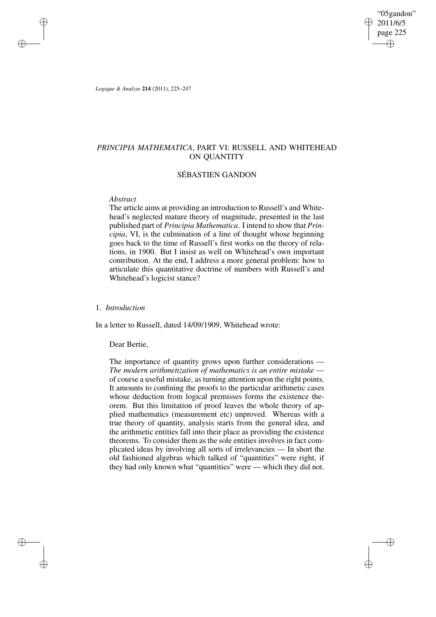"05gandon" 2011/6/5 page 225 ✐ ✐

✐

✐

*Logique & Analyse* **214** (2011), 225–247

✐

✐

✐

✐

# *PRINCIPIA MATHEMATICA*, PART VI: RUSSELL AND WHITEHEAD ON QUANTITY

# SÉBASTIEN GANDON

# *Abstract*

The article aims at providing an introduction to Russell's and Whitehead's neglected mature theory of magnitude, presented in the last published part of *Principia Mathematica*. I intend to show that *Principia*, VI, is the culmination of a line of thought whose beginning goes back to the time of Russell's first works on the theory of relations, in 1900. But I insist as well on Whitehead's own important contribution. At the end, I address a more general problem: how to articulate this quantitative doctrine of numbers with Russell's and Whitehead's logicist stance?

# 1. *Introduction*

In a letter to Russell, dated 14/09/1909, Whitehead wrote:

Dear Bertie,

The importance of quantity grows upon further considerations — *The modern arithmetization of mathematics is an entire mistake* of course a useful mistake, as turning attention upon the right points. It amounts to confining the proofs to the particular arithmetic cases whose deduction from logical premisses forms the existence theorem. But this limitation of proof leaves the whole theory of applied mathematics (measurement etc) unproved. Whereas with a true theory of quantity, analysis starts from the general idea, and the arithmetic entities fall into their place as providing the existence theorems. To consider them as the sole entities involves in fact complicated ideas by involving all sorts of irrelevancies — In short the old fashioned algebras which talked of "quantities" were right, if they had only known what "quantities" were — which they did not.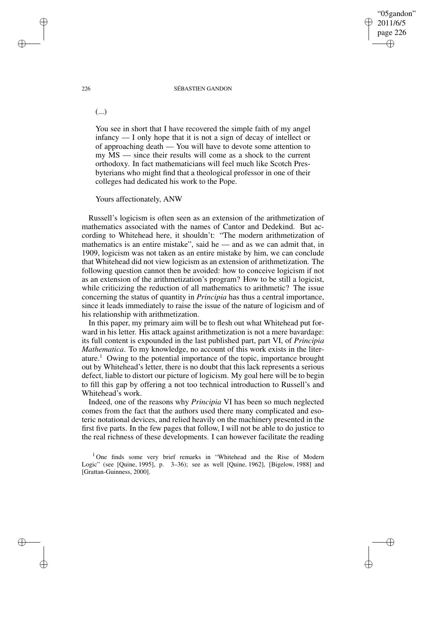# "05gandon" 2011/6/5 page 226 ✐ ✐

✐

✐

## 226 SÉBASTIEN GANDON

(...)

You see in short that I have recovered the simple faith of my angel infancy — I only hope that it is not a sign of decay of intellect or of approaching death — You will have to devote some attention to my MS — since their results will come as a shock to the current orthodoxy. In fact mathematicians will feel much like Scotch Presbyterians who might find that a theological professor in one of their colleges had dedicated his work to the Pope.

Yours affectionately, ANW

Russell's logicism is often seen as an extension of the arithmetization of mathematics associated with the names of Cantor and Dedekind. But according to Whitehead here, it shouldn't: "The modern arithmetization of mathematics is an entire mistake", said he  $-$  and as we can admit that, in 1909, logicism was not taken as an entire mistake by him, we can conclude that Whitehead did not view logicism as an extension of arithmetization. The following question cannot then be avoided: how to conceive logicism if not as an extension of the arithmetization's program? How to be still a logicist, while criticizing the reduction of all mathematics to arithmetic? The issue concerning the status of quantity in *Principia* has thus a central importance, since it leads immediately to raise the issue of the nature of logicism and of his relationship with arithmetization.

In this paper, my primary aim will be to flesh out what Whitehead put forward in his letter. His attack against arithmetization is not a mere bavardage: its full content is expounded in the last published part, part VI, of *Principia Mathematica*. To my knowledge, no account of this work exists in the literature.<sup>1</sup> Owing to the potential importance of the topic, importance brought out by Whitehead's letter, there is no doubt that this lack represents a serious defect, liable to distort our picture of logicism. My goal here will be to begin to fill this gap by offering a not too technical introduction to Russell's and Whitehead's work.

Indeed, one of the reasons why *Principia* VI has been so much neglected comes from the fact that the authors used there many complicated and esoteric notational devices, and relied heavily on the machinery presented in the first five parts. In the few pages that follow, I will not be able to do justice to the real richness of these developments. I can however facilitate the reading

<sup>1</sup> One finds some very brief remarks in "Whitehead and the Rise of Modern Logic" (see [Quine, 1995], p. 3–36); see as well [Quine, 1962], [Bigelow, 1988] and [Grattan-Guinness, 2000].

✐

✐

✐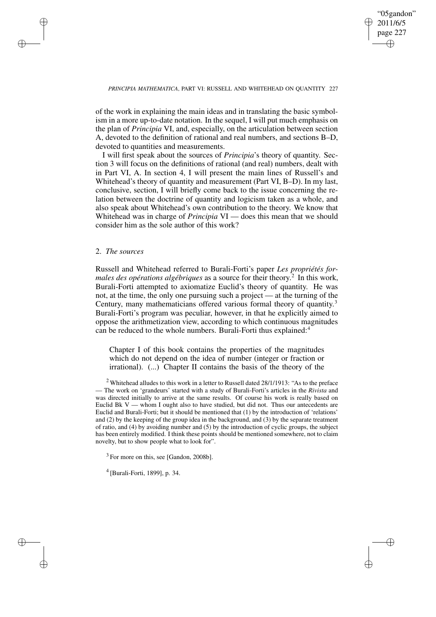✐

## *PRINCIPIA MATHEMATICA*, PART VI: RUSSELL AND WHITEHEAD ON QUANTITY 227

of the work in explaining the main ideas and in translating the basic symbolism in a more up-to-date notation. In the sequel, I will put much emphasis on the plan of *Principia* VI, and, especially, on the articulation between section A, devoted to the definition of rational and real numbers, and sections B–D, devoted to quantities and measurements.

I will first speak about the sources of *Principia*'s theory of quantity. Section 3 will focus on the definitions of rational (and real) numbers, dealt with in Part VI, A. In section 4, I will present the main lines of Russell's and Whitehead's theory of quantity and measurement (Part VI, B–D). In my last, conclusive, section, I will briefly come back to the issue concerning the relation between the doctrine of quantity and logicism taken as a whole, and also speak about Whitehead's own contribution to the theory. We know that Whitehead was in charge of *Principia* VI — does this mean that we should consider him as the sole author of this work?

# 2. *The sources*

✐

✐

✐

✐

Russell and Whitehead referred to Burali-Forti's paper *Les propriétés formales des opérations algébriques* as a source for their theory. 2 In this work, Burali-Forti attempted to axiomatize Euclid's theory of quantity. He was not, at the time, the only one pursuing such a project — at the turning of the Century, many mathematicians offered various formal theory of quantity.<sup>3</sup> Burali-Forti's program was peculiar, however, in that he explicitly aimed to oppose the arithmetization view, according to which continuous magnitudes can be reduced to the whole numbers. Burali-Forti thus explained:<sup>4</sup>

Chapter I of this book contains the properties of the magnitudes which do not depend on the idea of number (integer or fraction or irrational). (...) Chapter II contains the basis of the theory of the

<sup>3</sup> For more on this, see [Gandon, 2008b].

4 [Burali-Forti, 1899], p. 34.

 $2$  Whitehead alludes to this work in a letter to Russell dated 28/1/1913: "As to the preface — The work on 'grandeurs' started with a study of Burali-Forti's articles in the *Rivista* and was directed initially to arrive at the same results. Of course his work is really based on Euclid Bk V — whom I ought also to have studied, but did not. Thus our antecedents are Euclid and Burali-Forti; but it should be mentioned that (1) by the introduction of 'relations' and (2) by the keeping of the group idea in the background, and (3) by the separate treatment of ratio, and (4) by avoiding number and (5) by the introduction of cyclic groups, the subject has been entirely modified. I think these points should be mentioned somewhere, not to claim novelty, but to show people what to look for".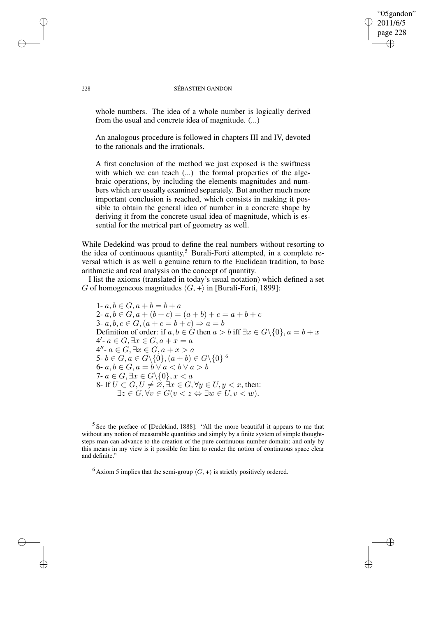### 228 SÉBASTIEN GANDON

"05gandon" 2011/6/5 page 228

✐

✐

✐

✐

whole numbers. The idea of a whole number is logically derived from the usual and concrete idea of magnitude. (...)

An analogous procedure is followed in chapters III and IV, devoted to the rationals and the irrationals.

A first conclusion of the method we just exposed is the swiftness with which we can teach (...) the formal properties of the algebraic operations, by including the elements magnitudes and numbers which are usually examined separately. But another much more important conclusion is reached, which consists in making it possible to obtain the general idea of number in a concrete shape by deriving it from the concrete usual idea of magnitude, which is essential for the metrical part of geometry as well.

While Dedekind was proud to define the real numbers without resorting to the idea of continuous quantity, <sup>5</sup> Burali-Forti attempted, in a complete reversal which is as well a genuine return to the Euclidean tradition, to base arithmetic and real analysis on the concept of quantity.

I list the axioms (translated in today's usual notation) which defined a set G of homogeneous magnitudes  $\langle G, + \rangle$  in [Burali-Forti, 1899]:

1-  $a, b \in G, a + b = b + a$ 2-  $a, b \in G, a + (b + c) = (a + b) + c = a + b + c$ 3-  $a, b, c \in G, (a + c = b + c) \Rightarrow a = b$ Definition of order: if  $a, b \in G$  then  $a > b$  iff  $\exists x \in G \setminus \{0\}, a = b + x$  $4'$ -  $a \in G, \exists x \in G, a + x = a$  $4''$ -  $a \in G, \exists x \in G, a + x > a$ 5-  $b\in G, a\in G\backslash\{0\}, (a+b)\in G\backslash\{0\}$  <sup>6</sup> 6-  $a, b \in G, a = b \vee a < b \vee a > b$ 7-  $a \in G$ ,  $\exists x \in G \setminus \{0\}$ ,  $x < a$ 8- If  $U \subset G, U \neq \emptyset$ ,  $\exists x \in G, \forall y \in U, y < x$ , then:  $\exists z \in G, \forall v \in G (v \lt z \Leftrightarrow \exists w \in U, v \lt w).$ 

<sup>5</sup> See the preface of [Dedekind, 1888]: "All the more beautiful it appears to me that without any notion of measurable quantities and simply by a finite system of simple thoughtsteps man can advance to the creation of the pure continuous number-domain; and only by this means in my view is it possible for him to render the notion of continuous space clear and definite.'

<sup>6</sup> Axiom 5 implies that the semi-group  $\langle G, + \rangle$  is strictly positively ordered.

✐

✐

✐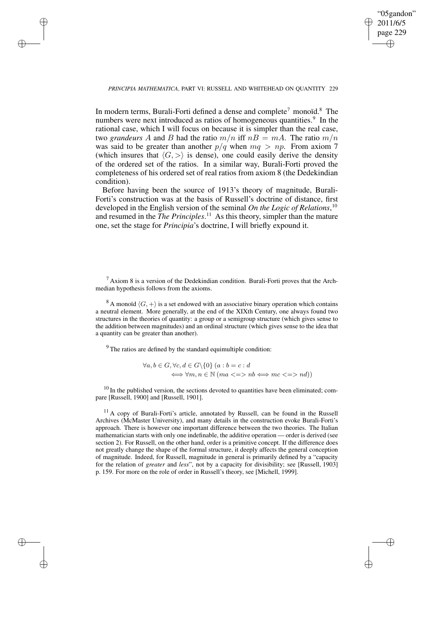✐

## *PRINCIPIA MATHEMATICA*, PART VI: RUSSELL AND WHITEHEAD ON QUANTITY 229

✐

✐

✐

✐

In modern terms, Burali-Forti defined a dense and complete<sup>7</sup> monoïd.<sup>8</sup> The numbers were next introduced as ratios of homogeneous quantities.<sup>9</sup> In the rational case, which I will focus on because it is simpler than the real case, two *grandeurs* A and B had the ratio  $m/n$  iff  $nB = mA$ . The ratio  $m/n$ was said to be greater than another  $p/q$  when  $mq > np$ . From axiom 7 (which insures that  $\langle G, \rangle$ ) is dense), one could easily derive the density of the ordered set of the ratios. In a similar way, Burali-Forti proved the completeness of his ordered set of real ratios from axiom 8 (the Dedekindian condition).

Before having been the source of 1913's theory of magnitude, Burali-Forti's construction was at the basis of Russell's doctrine of distance, first developed in the English version of the seminal *On the Logic of Relations*, 10 and resumed in the *The Principles*. <sup>11</sup> As this theory, simpler than the mature one, set the stage for *Principia*'s doctrine, I will briefly expound it.

 $<sup>7</sup>$  Axiom 8 is a version of the Dedekindian condition. Burali-Forti proves that the Arch-</sup> median hypothesis follows from the axioms.

 $8$  A monoïd  $\langle G, + \rangle$  is a set endowed with an associative binary operation which contains a neutral element. More generally, at the end of the XIXth Century, one always found two structures in the theories of quantity: a group or a semigroup structure (which gives sense to the addition between magnitudes) and an ordinal structure (which gives sense to the idea that a quantity can be greater than another).

 $9<sup>9</sup>$  The ratios are defined by the standard equimultiple condition:

 $\forall a, b \in G, \forall c, d \in G \backslash \{0\}$   $(a : b = c : d$  $\Leftrightarrow \forall m, n \in \mathbb{N}$  ( $ma \leq \Rightarrow nb \Longleftrightarrow mc \leq \Rightarrow nd$ ))

 $10$  In the published version, the sections devoted to quantities have been eliminated; compare [Russell, 1900] and [Russell, 1901].

<sup>11</sup> A copy of Burali-Forti's article, annotated by Russell, can be found in the Russell Archives (McMaster University), and many details in the construction evoke Burali-Forti's approach. There is however one important difference between the two theories. The Italian mathematician starts with only one indefinable, the additive operation — order is derived (see section 2). For Russell, on the other hand, order is a primitive concept. If the difference does not greatly change the shape of the formal structure, it deeply affects the general conception of magnitude. Indeed, for Russell, magnitude in general is primarily defined by a "capacity for the relation of *greater* and *less*", not by a capacity for divisibility; see [Russell, 1903] p. 159. For more on the role of order in Russell's theory, see [Michell, 1999].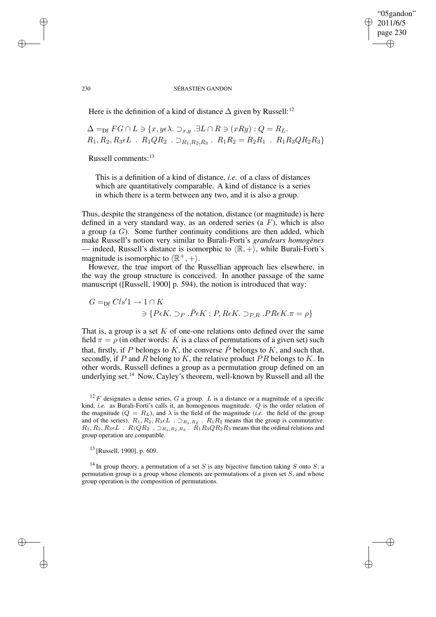# "05gandon" 2011/6/5 page 230 ✐ ✐

✐

✐

### 230 SÉBASTIEN GANDON

Here is the definition of a kind of distance  $\Delta$  given by Russell:<sup>12</sup>

$$
\Delta =_{\text{Df}} FG \cap L \ni \{x, y \in \lambda \colon \supset_{x,y} \exists L \cap R \ni (xRy) : Q = R_L.
$$
  

$$
R_1, R_2, R_3 \in L \quad R_1QR_2 \quad \supset_{R_1, R_2, R_3} R_1R_2 = R_2R_1 \quad R_1R_3QR_2R_3\}
$$

Russell comments:<sup>13</sup>

This is a definition of a kind of distance, *i.e.* of a class of distances which are quantitatively comparable. A kind of distance is a series in which there is a term between any two, and it is also a group.

Thus, despite the strangeness of the notation, distance (or magnitude) is here defined in a very standard way, as an ordered series (a  $F$ ), which is also a group (a  $G$ ). Some further continuity conditions are then added, which make Russell's notion very similar to Burali-Forti's *grandeurs homogènes* — indeed, Russell's distance is isomorphic to  $\langle \mathbb{R}, + \rangle$ , while Burali-Forti's magnitude is isomorphic to  $\langle \mathbb{R}^+, + \rangle$ .

However, the true import of the Russellian approach lies elsewhere, in the way the group structure is conceived. In another passage of the same manuscript ([Russell, 1900] p. 594), the notion is introduced that way:

 $G =_{\text{Df}} Cls'1 \rightarrow 1 \cap K$  $\exists$  { $P\epsilon K$ .  $\supset_P \tilde{P}\epsilon K$ :  $P, R\epsilon K$ .  $\supset_{P,R}$ .  $PR\epsilon K$ . $\pi = \rho$ }

That is, a group is a set  $K$  of one-one relations onto defined over the same field  $\pi = \rho$  (in other words: K is a class of permutations of a given set) such that, firstly, if P belongs to K, the converse  $\tilde{P}$  belongs to K, and such that, secondly, if  $P$  and  $R$  belong to  $K$ , the relative product  $PR$  belongs to  $K$ . In other words, Russell defines a group as a permutation group defined on an underlying set.<sup>14</sup> Now, Cayley's theorem, well-known by Russell and all the

 $12 F$  designates a dense series, G a group. L is a distance or a magnitude of a specific kind, *i.e.* as Burali-Forti's calls it, an homogenous magnitude. Q is the order relation of the magnitude ( $Q = R_L$ ), and  $\lambda$  is the field of the magnitude (*i.e.* the field of the group and of the series).  $R_1, R_2, R_3 \in L$ .  $\supset_{R_1, R_2}$ .  $R_1 R_2$  means that the group is commutative.  $R_1, R_2, R_3 \in L$  .  $R_1QR_2$  .  $\supset R_1, R_2, R_3$  .  $R_1R_3QR_2R_3$  means that the ordinal relations and group operation are compatible.

<sup>13</sup> [Russell, 1900], p. 609.

<sup>14</sup> In group theory, a permutation of a set S is any bijective function taking S onto S; a permutation group is a group whose elements are permutations of a given set  $S$ , and whose group operation is the composition of permutations.

✐

✐

✐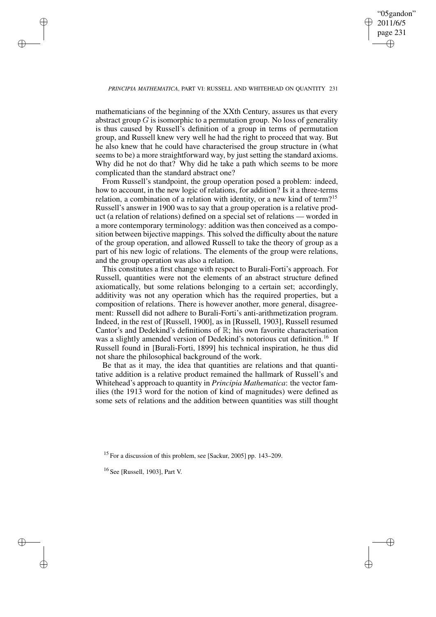✐

## *PRINCIPIA MATHEMATICA*, PART VI: RUSSELL AND WHITEHEAD ON QUANTITY 231

mathematicians of the beginning of the XXth Century, assures us that every abstract group  $G$  is isomorphic to a permutation group. No loss of generality is thus caused by Russell's definition of a group in terms of permutation group, and Russell knew very well he had the right to proceed that way. But he also knew that he could have characterised the group structure in (what seems to be) a more straightforward way, by just setting the standard axioms. Why did he not do that? Why did he take a path which seems to be more complicated than the standard abstract one?

From Russell's standpoint, the group operation posed a problem: indeed, how to account, in the new logic of relations, for addition? Is it a three-terms relation, a combination of a relation with identity, or a new kind of term?<sup>15</sup> Russell's answer in 1900 was to say that a group operation is a relative product (a relation of relations) defined on a special set of relations — worded in a more contemporary terminology: addition was then conceived as a composition between bijective mappings. This solved the difficulty about the nature of the group operation, and allowed Russell to take the theory of group as a part of his new logic of relations. The elements of the group were relations, and the group operation was also a relation.

This constitutes a first change with respect to Burali-Forti's approach. For Russell, quantities were not the elements of an abstract structure defined axiomatically, but some relations belonging to a certain set; accordingly, additivity was not any operation which has the required properties, but a composition of relations. There is however another, more general, disagreement: Russell did not adhere to Burali-Forti's anti-arithmetization program. Indeed, in the rest of [Russell, 1900], as in [Russell, 1903], Russell resumed Cantor's and Dedekind's definitions of  $\mathbb{R}$ ; his own favorite characterisation was a slightly amended version of Dedekind's notorious cut definition.<sup>16</sup> If Russell found in [Burali-Forti, 1899] his technical inspiration, he thus did not share the philosophical background of the work.

Be that as it may, the idea that quantities are relations and that quantitative addition is a relative product remained the hallmark of Russell's and Whitehead's approach to quantity in *Principia Mathematica*: the vector families (the 1913 word for the notion of kind of magnitudes) were defined as some sets of relations and the addition between quantities was still thought

<sup>15</sup> For a discussion of this problem, see [Sackur, 2005] pp. 143–209.

<sup>16</sup> See [Russell, 1903], Part V.

✐

✐

✐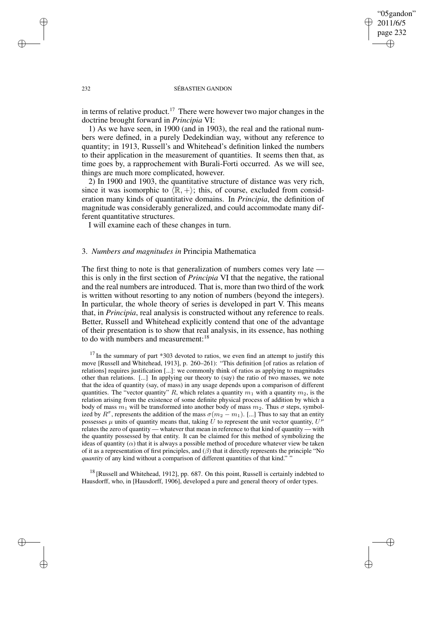"05gandon" 2011/6/5 page 232 ✐ ✐

✐

✐

## 232 SÉBASTIEN GANDON

in terms of relative product.<sup>17</sup> There were however two major changes in the doctrine brought forward in *Principia* VI:

1) As we have seen, in 1900 (and in 1903), the real and the rational numbers were defined, in a purely Dedekindian way, without any reference to quantity; in 1913, Russell's and Whitehead's definition linked the numbers to their application in the measurement of quantities. It seems then that, as time goes by, a rapprochement with Burali-Forti occurred. As we will see, things are much more complicated, however.

2) In 1900 and 1903, the quantitative structure of distance was very rich, since it was isomorphic to  $\langle \mathbb{R}, + \rangle$ ; this, of course, excluded from consideration many kinds of quantitative domains. In *Principia*, the definition of magnitude was considerably generalized, and could accommodate many different quantitative structures.

I will examine each of these changes in turn.

# 3. *Numbers and magnitudes in* Principia Mathematica

The first thing to note is that generalization of numbers comes very late this is only in the first section of *Principia* VI that the negative, the rational and the real numbers are introduced. That is, more than two third of the work is written without resorting to any notion of numbers (beyond the integers). In particular, the whole theory of series is developed in part V. This means that, in *Principia*, real analysis is constructed without any reference to reals. Better, Russell and Whitehead explicitly contend that one of the advantage of their presentation is to show that real analysis, in its essence, has nothing to do with numbers and measurement:<sup>18</sup>

 $17$  In the summary of part  $*303$  devoted to ratios, we even find an attempt to justify this move [Russell and Whitehead, 1913], p. 260–261): "This definition [of ratios as relation of relations] requires justification [...]: we commonly think of ratios as applying to magnitudes other than relations. [...] In applying our theory to (say) the ratio of two masses, we note that the idea of quantity (say, of mass) in any usage depends upon a comparison of different quantities. The "vector quantity" R, which relates a quantity  $m_1$  with a quantity  $m_2$ , is the relation arising from the existence of some definite physical process of addition by which a body of mass  $m_1$  will be transformed into another body of mass  $m_2$ . Thus  $\sigma$  steps, symbolized by  $R^{\sigma}$ , represents the addition of the mass  $\sigma(m_2 - m_1)$ . [...] Thus to say that an entity possesses  $\mu$  units of quantity means that, taking U to represent the unit vector quantity,  $U^{\mu}$ relates the zero of quantity — whatever that mean in reference to that kind of quantity — with the quantity possessed by that entity. It can be claimed for this method of symbolizing the ideas of quantity  $(\alpha)$  that it is always a possible method of procedure whatever view be taken of it as a representation of first principles, and  $(\beta)$  that it directly represents the principle "No *quantity* of any kind without a comparison of different quantities of that kind." "

 $18$  [Russell and Whitehead, 1912], pp. 687. On this point, Russell is certainly indebted to Hausdorff, who, in [Hausdorff, 1906], developed a pure and general theory of order types.

✐

✐

✐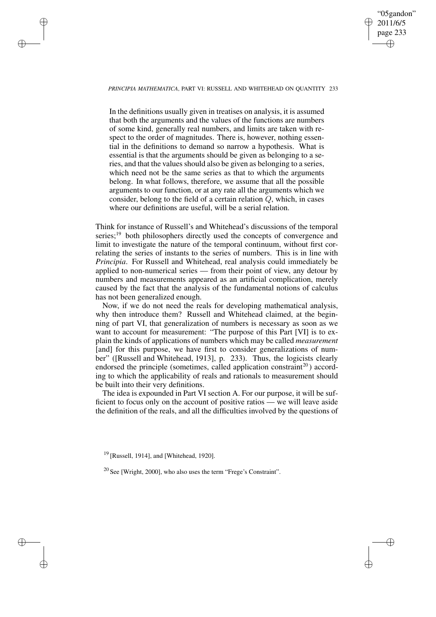# "05gandon" 2011/6/5 page 233 ✐ ✐

✐

✐

## *PRINCIPIA MATHEMATICA*, PART VI: RUSSELL AND WHITEHEAD ON QUANTITY 233

✐

✐

✐

✐

In the definitions usually given in treatises on analysis, it is assumed that both the arguments and the values of the functions are numbers of some kind, generally real numbers, and limits are taken with respect to the order of magnitudes. There is, however, nothing essential in the definitions to demand so narrow a hypothesis. What is essential is that the arguments should be given as belonging to a series, and that the values should also be given as belonging to a series, which need not be the same series as that to which the arguments belong. In what follows, therefore, we assume that all the possible arguments to our function, or at any rate all the arguments which we consider, belong to the field of a certain relation Q, which, in cases where our definitions are useful, will be a serial relation.

Think for instance of Russell's and Whitehead's discussions of the temporal series;<sup>19</sup> both philosophers directly used the concepts of convergence and limit to investigate the nature of the temporal continuum, without first correlating the series of instants to the series of numbers. This is in line with *Principia*. For Russell and Whitehead, real analysis could immediately be applied to non-numerical series — from their point of view, any detour by numbers and measurements appeared as an artificial complication, merely caused by the fact that the analysis of the fundamental notions of calculus has not been generalized enough.

Now, if we do not need the reals for developing mathematical analysis, why then introduce them? Russell and Whitehead claimed, at the beginning of part VI, that generalization of numbers is necessary as soon as we want to account for measurement: "The purpose of this Part [VI] is to explain the kinds of applications of numbers which may be called *measurement* [and] for this purpose, we have first to consider generalizations of number" ([Russell and Whitehead, 1913], p. 233). Thus, the logicists clearly endorsed the principle (sometimes, called application constraint<sup>20</sup>) according to which the applicability of reals and rationals to measurement should be built into their very definitions.

The idea is expounded in Part VI section A. For our purpose, it will be sufficient to focus only on the account of positive ratios — we will leave aside the definition of the reals, and all the difficulties involved by the questions of

<sup>19</sup> [Russell, 1914], and [Whitehead, 1920].

<sup>20</sup> See [Wright, 2000], who also uses the term "Frege's Constraint".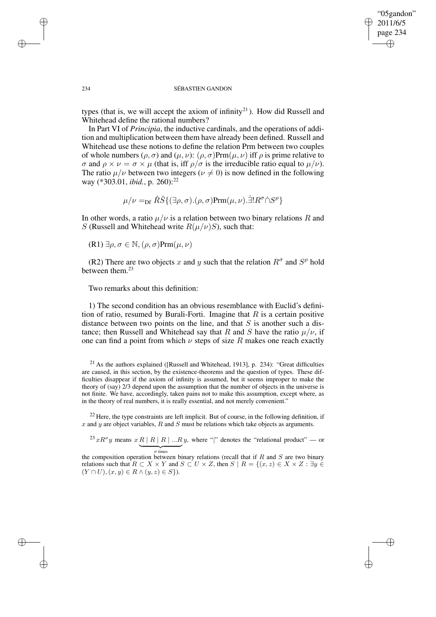✐

#### 234 SÉBASTIEN GANDON

types (that is, we will accept the axiom of infinity<sup>21</sup>). How did Russell and Whitehead define the rational numbers?

In Part VI of *Principia*, the inductive cardinals, and the operations of addition and multiplication between them have already been defined. Russell and Whitehead use these notions to define the relation Prm between two couples of whole numbers  $(\rho, \sigma)$  and  $(\mu, \nu)$ :  $(\rho, \sigma)$ Prm $(\mu, \nu)$  iff  $\rho$  is prime relative to σ and  $\rho \times \nu = \sigma \times \mu$  (that is, iff  $\rho/\sigma$  is the irreducible ratio equal to  $\mu/\nu$ ). The ratio  $\mu/\nu$  between two integers ( $\nu \neq 0$ ) is now defined in the following way (\*303.01, *ibid.*, p. 260):<sup>22</sup>

$$
\mu/\nu = \text{D}f \hat{R}\hat{S}\{(\exists \rho, \sigma).(\rho, \sigma) \text{Prm}(\mu, \nu).\dot{\exists}! R^{\sigma} \dot{\cap} S^{\rho}\}\
$$

In other words, a ratio  $\mu/\nu$  is a relation between two binary relations R and S (Russell and Whitehead write  $R(\mu/\nu)S$ ), such that:

$$
(R1) \exists \rho, \sigma \in \mathbb{N}, (\rho, \sigma) \text{Prm}(\mu, \nu)
$$

(R2) There are two objects x and y such that the relation  $R^{\sigma}$  and  $S^{\rho}$  hold between them.<sup>23</sup>

Two remarks about this definition:

1) The second condition has an obvious resemblance with Euclid's definition of ratio, resumed by Burali-Forti. Imagine that  $R$  is a certain positive distance between two points on the line, and that  $S$  is another such a distance; then Russell and Whitehead say that R and S have the ratio  $\mu/\nu$ , if one can find a point from which  $\nu$  steps of size R makes one reach exactly

 $21$  As the authors explained ([Russell and Whitehead, 1913], p. 234): "Great difficulties are caused, in this section, by the existence-theorems and the question of types. These difficulties disappear if the axiom of infinity is assumed, but it seems improper to make the theory of (say) 2/3 depend upon the assumption that the number of objects in the universe is not finite. We have, accordingly, taken pains not to make this assumption, except where, as in the theory of real numbers, it is really essential, and not merely convenient."

 $^{22}$  Here, the type constraints are left implicit. But of course, in the following definition, if x and y are object variables, R and S must be relations which take objects as arguments.

 $^{23}xR^{\sigma}y$  means  $x \underline{R | R | R | ... R}y$ , where "|" denotes the "relational product" — or

the composition operation between binary relations (recall that if R and S are two binary relations such that  $R \subset X \times Y$  and  $S \subset U \times Z$ , then  $S \mid R = \{(x, z) \in X \times Z : \exists y \in Z \}$  $(Y \cap U), (x, y) \in R \wedge (y, z) \in S$ .

✐

✐

✐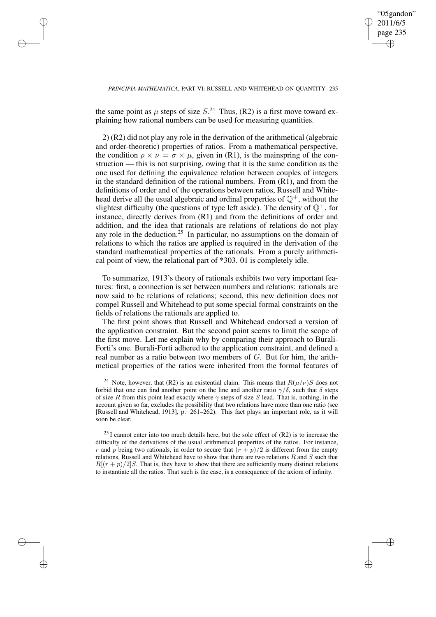✐

## *PRINCIPIA MATHEMATICA*, PART VI: RUSSELL AND WHITEHEAD ON QUANTITY 235

the same point as  $\mu$  steps of size  $S^{24}$  Thus, (R2) is a first move toward explaining how rational numbers can be used for measuring quantities.

✐

✐

✐

✐

2) (R2) did not play any role in the derivation of the arithmetical (algebraic and order-theoretic) properties of ratios. From a mathematical perspective, the condition  $\rho \times \nu = \sigma \times \mu$ , given in (R1), is the mainspring of the construction — this is not surprising, owing that it is the same condition as the one used for defining the equivalence relation between couples of integers in the standard definition of the rational numbers. From (R1), and from the definitions of order and of the operations between ratios, Russell and Whitehead derive all the usual algebraic and ordinal properties of  $\mathbb{Q}^+$ , without the slightest difficulty (the questions of type left aside). The density of  $\mathbb{Q}^+$ , for instance, directly derives from (R1) and from the definitions of order and addition, and the idea that rationals are relations of relations do not play any role in the deduction.<sup>25</sup> In particular, no assumptions on the domain of relations to which the ratios are applied is required in the derivation of the standard mathematical properties of the rationals. From a purely arithmetical point of view, the relational part of \*303. 01 is completely idle.

To summarize, 1913's theory of rationals exhibits two very important features: first, a connection is set between numbers and relations: rationals are now said to be relations of relations; second, this new definition does not compel Russell and Whitehead to put some special formal constraints on the fields of relations the rationals are applied to.

The first point shows that Russell and Whitehead endorsed a version of the application constraint. But the second point seems to limit the scope of the first move. Let me explain why by comparing their approach to Burali-Forti's one. Burali-Forti adhered to the application constraint, and defined a real number as a ratio between two members of G. But for him, the arithmetical properties of the ratios were inherited from the formal features of

<sup>24</sup> Note, however, that (R2) is an existential claim. This means that  $R(\mu/\nu)S$  does not forbid that one can find another point on the line and another ratio  $\gamma/\delta$ , such that  $\delta$  steps of size R from this point lead exactly where  $\gamma$  steps of size S lead. That is, nothing, in the account given so far, excludes the possibility that two relations have more than one ratio (see [Russell and Whitehead, 1913], p. 261–262). This fact plays an important role, as it will soon be clear.

 $^{25}$  I cannot enter into too much details here, but the sole effect of (R2) is to increase the difficulty of the derivations of the usual arithmetical properties of the ratios. For instance, r and p being two rationals, in order to secure that  $(r + p)/2$  is different from the empty relations, Russell and Whitehead have to show that there are two relations  $R$  and  $S$  such that  $R[(r+p)/2]$ S. That is, they have to show that there are sufficiently many distinct relations to instantiate all the ratios. That such is the case, is a consequence of the axiom of infinity.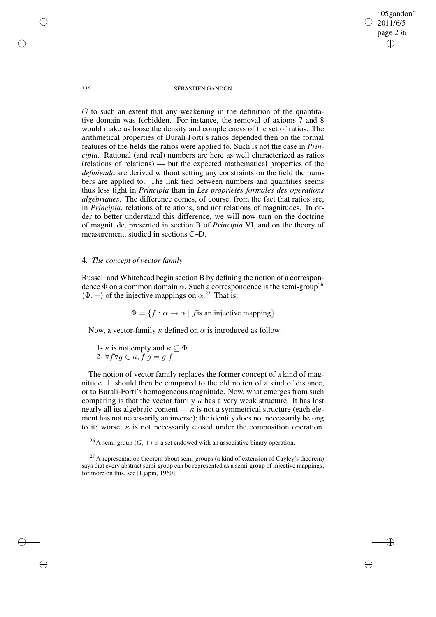236 SÉBASTIEN GANDON

"05gandon" 2011/6/5 page 236

✐

✐

✐

✐

 $G$  to such an extent that any weakening in the definition of the quantitative domain was forbidden. For instance, the removal of axioms 7 and 8 would make us loose the density and completeness of the set of ratios. The arithmetical properties of Burali-Forti's ratios depended then on the formal features of the fields the ratios were applied to. Such is not the case in *Principia*. Rational (and real) numbers are here as well characterized as ratios (relations of relations) — but the expected mathematical properties of the *definienda* are derived without setting any constraints on the field the numbers are applied to. The link tied between numbers and quantities seems thus less tight in *Principia* than in *Les propriétés formales des opérations algébriques*. The difference comes, of course, from the fact that ratios are, in *Principia*, relations of relations, and not relations of magnitudes. In order to better understand this difference, we will now turn on the doctrine of magnitude, presented in section B of *Principia* VI, and on the theory of measurement, studied in sections C–D.

# 4. *The concept of vector family*

Russell and Whitehead begin section B by defining the notion of a correspondence  $\Phi$  on a common domain  $\alpha$ . Such a correspondence is the semi-group<sup>26</sup>  $\langle \Phi, + \rangle$  of the injective mappings on  $\alpha$ <sup>27</sup> That is:

 $\Phi = \{f : \alpha \to \alpha \mid f$  is an injective mapping}

Now, a vector-family  $\kappa$  defined on  $\alpha$  is introduced as follow:

1-  $\kappa$  is not empty and  $\kappa \subseteq \Phi$ 2-  $\forall f \forall g \in \kappa$ ,  $f.g = g.f$ 

The notion of vector family replaces the former concept of a kind of magnitude. It should then be compared to the old notion of a kind of distance, or to Burali-Forti's homogeneous magnitude. Now, what emerges from such comparing is that the vector family  $\kappa$  has a very weak structure. It has lost nearly all its algebraic content —  $\kappa$  is not a symmetrical structure (each element has not necessarily an inverse); the identity does not necessarily belong to it; worse,  $\kappa$  is not necessarily closed under the composition operation.

<sup>26</sup> A semi-group  $\langle G, + \rangle$  is a set endowed with an associative binary operation.

✐

✐

✐

 $27$  A representation theorem about semi-groups (a kind of extension of Cayley's theorem) says that every abstract semi-group can be represented as a semi-group of injective mappings; for more on this, see [Ljapin, 1960].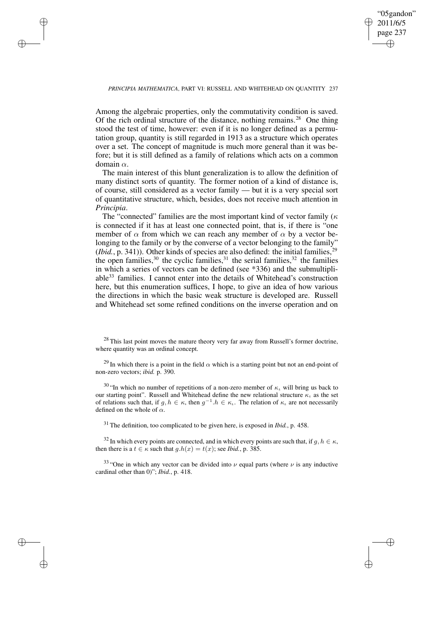✐

## *PRINCIPIA MATHEMATICA*, PART VI: RUSSELL AND WHITEHEAD ON QUANTITY 237

✐

✐

✐

✐

Among the algebraic properties, only the commutativity condition is saved. Of the rich ordinal structure of the distance, nothing remains.<sup>28</sup> One thing stood the test of time, however: even if it is no longer defined as a permutation group, quantity is still regarded in 1913 as a structure which operates over a set. The concept of magnitude is much more general than it was before; but it is still defined as a family of relations which acts on a common domain α.

The main interest of this blunt generalization is to allow the definition of many distinct sorts of quantity. The former notion of a kind of distance is, of course, still considered as a vector family — but it is a very special sort of quantitative structure, which, besides, does not receive much attention in *Principia*.

The "connected" families are the most important kind of vector family ( $\kappa$ is connected if it has at least one connected point, that is, if there is "one member of  $\alpha$  from which we can reach any member of  $\alpha$  by a vector belonging to the family or by the converse of a vector belonging to the family"  $(Ibid., p. 341)$ ). Other kinds of species are also defined: the initial families,<sup>29</sup> the open families,  $30$  the cyclic families,  $31$  the serial families,  $32$  the families in which a series of vectors can be defined (see \*336) and the submultipliable<sup>33</sup> families. I cannot enter into the details of Whitehead's construction here, but this enumeration suffices, I hope, to give an idea of how various the directions in which the basic weak structure is developed are. Russell and Whitehead set some refined conditions on the inverse operation and on

<sup>30</sup> "In which no number of repetitions of a non-zero member of  $\kappa_i$  will bring us back to our starting point". Russell and Whitehead define the new relational structure  $\kappa_t$  as the set of relations such that, if  $g, h \in \kappa$ , then  $g^{-1}.h \in \kappa$ . The relation of  $\kappa$  are not necessarily defined on the whole of  $\alpha$ .

<sup>31</sup> The definition, too complicated to be given here, is exposed in *Ibid.*, p. 458.

<sup>32</sup> In which every points are connected, and in which every points are such that, if  $q, h \in \kappa$ , then there is a  $t \in \kappa$  such that  $g.h(x) = t(x)$ ; see *Ibid.*, p. 385.

<sup>33</sup> "One in which any vector can be divided into  $\nu$  equal parts (where  $\nu$  is any inductive cardinal other than 0)"; *Ibid.*, p. 418.

 $^{28}$  This last point moves the mature theory very far away from Russell's former doctrine, where quantity was an ordinal concept.

<sup>&</sup>lt;sup>29</sup> In which there is a point in the field  $\alpha$  which is a starting point but not an end-point of non-zero vectors; *ibid.* p. 390.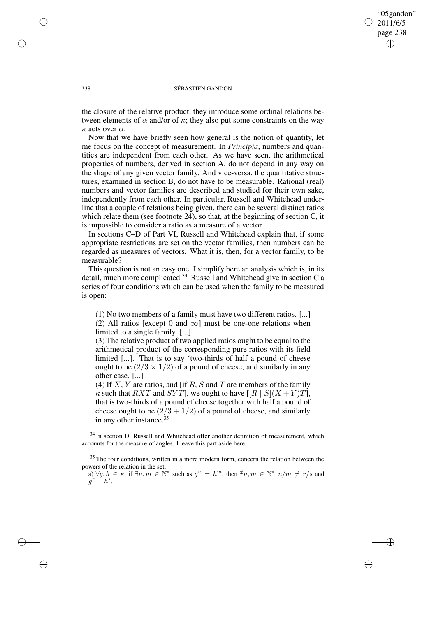# "05gandon" 2011/6/5 page 238 ✐ ✐

✐

✐

### 238 SÉBASTIEN GANDON

the closure of the relative product; they introduce some ordinal relations between elements of  $\alpha$  and/or of  $\kappa$ ; they also put some constraints on the way  $\kappa$  acts over  $\alpha$ .

Now that we have briefly seen how general is the notion of quantity, let me focus on the concept of measurement. In *Principia*, numbers and quantities are independent from each other. As we have seen, the arithmetical properties of numbers, derived in section A, do not depend in any way on the shape of any given vector family. And vice-versa, the quantitative structures, examined in section B, do not have to be measurable. Rational (real) numbers and vector families are described and studied for their own sake, independently from each other. In particular, Russell and Whitehead underline that a couple of relations being given, there can be several distinct ratios which relate them (see footnote 24), so that, at the beginning of section C, it is impossible to consider a ratio as a measure of a vector.

In sections C–D of Part VI, Russell and Whitehead explain that, if some appropriate restrictions are set on the vector families, then numbers can be regarded as measures of vectors. What it is, then, for a vector family, to be measurable?

This question is not an easy one. I simplify here an analysis which is, in its detail, much more complicated.<sup>34</sup> Russell and Whitehead give in section C a series of four conditions which can be used when the family to be measured is open:

(1) No two members of a family must have two different ratios. [...] (2) All ratios [except 0 and  $\infty$ ] must be one-one relations when limited to a single family. [...]

(3) The relative product of two applied ratios ought to be equal to the arithmetical product of the corresponding pure ratios with its field limited [...]. That is to say 'two-thirds of half a pound of cheese ought to be  $(2/3 \times 1/2)$  of a pound of cheese; and similarly in any other case. [...]

(4) If  $X, Y$  are ratios, and [if  $R, S$  and  $T$  are members of the family  $\kappa$  such that RXT and SYT], we ought to have  $[|R|] S | (X + Y) T]$ , that is two-thirds of a pound of cheese together with half a pound of cheese ought to be  $(2/3 + 1/2)$  of a pound of cheese, and similarly in any other instance.<sup>35</sup>

 $34$  In section D, Russell and Whitehead offer another definition of measurement, which accounts for the measure of angles. I leave this part aside here.

 $35$  The four conditions, written in a more modern form, concern the relation between the powers of the relation in the set:

a)  $\forall g, h \in \kappa$ , if  $\exists n, m \in \mathbb{N}^*$  such as  $g^n = h^m$ , then  $\nexists n, m \in \mathbb{N}^*, n/m \neq r/s$  and  $g^r = h^s$ .

✐

✐

✐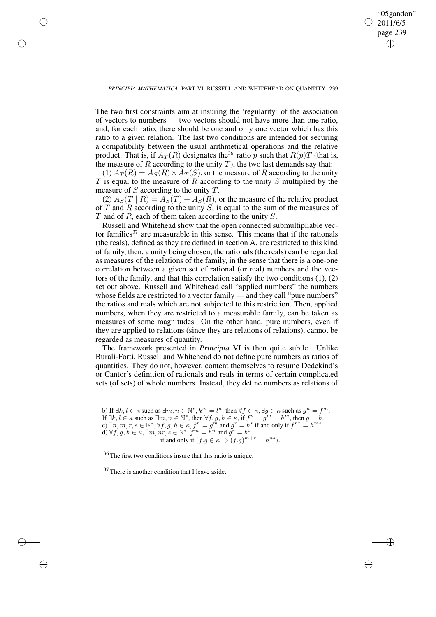✐

## *PRINCIPIA MATHEMATICA*, PART VI: RUSSELL AND WHITEHEAD ON QUANTITY 239

✐

✐

✐

✐

The two first constraints aim at insuring the 'regularity' of the association of vectors to numbers — two vectors should not have more than one ratio, and, for each ratio, there should be one and only one vector which has this ratio to a given relation. The last two conditions are intended for securing a compatibility between the usual arithmetical operations and the relative product. That is, if  $A_T(R)$  designates the<sup>36</sup> ratio p such that  $R(p)T$  (that is, the measure of  $R$  according to the unity  $T$ ), the two last demands say that:

(1)  $A_T(R) = A_S(R) \times A_T(S)$ , or the measure of R according to the unity  $T$  is equal to the measure of  $R$  according to the unity  $S$  multiplied by the measure of S according to the unity T.

(2)  $A_S(T \mid R) = A_S(T) + A_S(R)$ , or the measure of the relative product of  $T$  and  $R$  according to the unity  $S$ , is equal to the sum of the measures of  $T$  and of  $R$ , each of them taken according to the unity  $S$ .

Russell and Whitehead show that the open connected submultipliable vector families<sup>37</sup> are measurable in this sense. This means that if the rationals (the reals), defined as they are defined in section A, are restricted to this kind of family, then, a unity being chosen, the rationals (the reals) can be regarded as measures of the relations of the family, in the sense that there is a one-one correlation between a given set of rational (or real) numbers and the vectors of the family, and that this correlation satisfy the two conditions (1), (2) set out above. Russell and Whitehead call "applied numbers" the numbers whose fields are restricted to a vector family — and they call "pure numbers" the ratios and reals which are not subjected to this restriction. Then, applied numbers, when they are restricted to a measurable family, can be taken as measures of some magnitudes. On the other hand, pure numbers, even if they are applied to relations (since they are relations of relations), cannot be regarded as measures of quantity.

The framework presented in *Principia* VI is then quite subtle. Unlike Burali-Forti, Russell and Whitehead do not define pure numbers as ratios of quantities. They do not, however, content themselves to resume Dedekind's or Cantor's definition of rationals and reals in terms of certain complicated sets (of sets) of whole numbers. Instead, they define numbers as relations of

b) If  $\exists k, l \in \kappa$  such as  $\exists m, n \in \mathbb{N}^*, k^m = l^n$ , then  $\forall f \in \kappa, \exists g \in \kappa$  such as  $g^n = f^m$ . If  $\exists k, l \in \kappa$  such as  $\exists m, n \in \mathbb{N}^*$ , then  $\forall f, g, h \in \kappa$ , if  $f^n = g^m = h^m$ , then  $g = h$ . c)  $\exists n, m, r, s \in \mathbb{N}^*, \forall f, g, h \in \kappa, f^n = g^m$  and  $g^r = h^s$  if and only if  $f^{nr} = h^{ms}$ . d)  $\forall f, g, h \in \kappa, \exists m, nr, s \in \mathbb{N}^*, f^m = h^n$  and  $g^r = h^s$ if and only if  $(f.g \in \kappa \Rightarrow (f.g)^{m+r} = h^{ns}).$ 

<sup>36</sup> The first two conditions insure that this ratio is unique.

<sup>37</sup> There is another condition that I leave aside.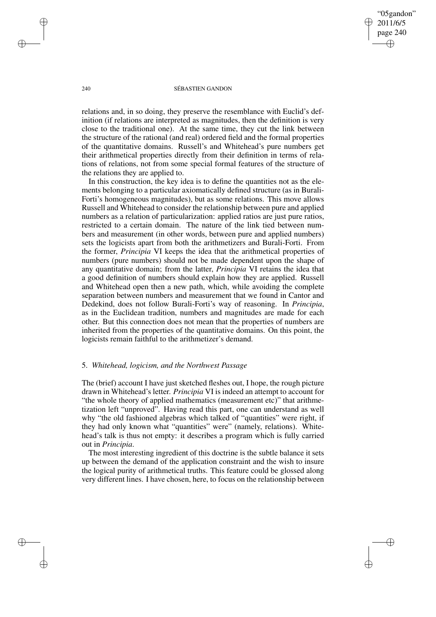"05gandon" 2011/6/5 page 240 ✐ ✐

✐

✐

### 240 SÉBASTIEN GANDON

relations and, in so doing, they preserve the resemblance with Euclid's definition (if relations are interpreted as magnitudes, then the definition is very close to the traditional one). At the same time, they cut the link between the structure of the rational (and real) ordered field and the formal properties of the quantitative domains. Russell's and Whitehead's pure numbers get their arithmetical properties directly from their definition in terms of relations of relations, not from some special formal features of the structure of the relations they are applied to.

In this construction, the key idea is to define the quantities not as the elements belonging to a particular axiomatically defined structure (as in Burali-Forti's homogeneous magnitudes), but as some relations. This move allows Russell and Whitehead to consider the relationship between pure and applied numbers as a relation of particularization: applied ratios are just pure ratios, restricted to a certain domain. The nature of the link tied between numbers and measurement (in other words, between pure and applied numbers) sets the logicists apart from both the arithmetizers and Burali-Forti. From the former, *Principia* VI keeps the idea that the arithmetical properties of numbers (pure numbers) should not be made dependent upon the shape of any quantitative domain; from the latter, *Principia* VI retains the idea that a good definition of numbers should explain how they are applied. Russell and Whitehead open then a new path, which, while avoiding the complete separation between numbers and measurement that we found in Cantor and Dedekind, does not follow Burali-Forti's way of reasoning. In *Principia*, as in the Euclidean tradition, numbers and magnitudes are made for each other. But this connection does not mean that the properties of numbers are inherited from the properties of the quantitative domains. On this point, the logicists remain faithful to the arithmetizer's demand.

# 5. *Whitehead, logicism, and the Northwest Passage*

The (brief) account I have just sketched fleshes out, I hope, the rough picture drawn in Whitehead's letter. *Principia* VI is indeed an attempt to account for "the whole theory of applied mathematics (measurement etc)" that arithmetization left "unproved". Having read this part, one can understand as well why "the old fashioned algebras which talked of "quantities" were right, if they had only known what "quantities" were" (namely, relations). Whitehead's talk is thus not empty: it describes a program which is fully carried out in *Principia*.

The most interesting ingredient of this doctrine is the subtle balance it sets up between the demand of the application constraint and the wish to insure the logical purity of arithmetical truths. This feature could be glossed along very different lines. I have chosen, here, to focus on the relationship between

✐

✐

✐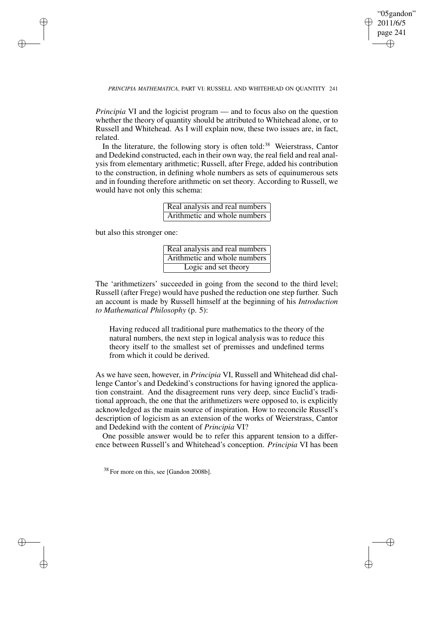✐

## *PRINCIPIA MATHEMATICA*, PART VI: RUSSELL AND WHITEHEAD ON QUANTITY 241

*Principia* VI and the logicist program — and to focus also on the question whether the theory of quantity should be attributed to Whitehead alone, or to Russell and Whitehead. As I will explain now, these two issues are, in fact, related.

In the literature, the following story is often told:<sup>38</sup> Weierstrass, Cantor and Dedekind constructed, each in their own way, the real field and real analysis from elementary arithmetic; Russell, after Frege, added his contribution to the construction, in defining whole numbers as sets of equinumerous sets and in founding therefore arithmetic on set theory. According to Russell, we would have not only this schema:

| Real analysis and real numbers |
|--------------------------------|
| Arithmetic and whole numbers   |

but also this stronger one:

✐

✐

✐

✐

| Real analysis and real numbers |
|--------------------------------|
| Arithmetic and whole numbers   |
| Logic and set theory           |

The 'arithmetizers' succeeded in going from the second to the third level; Russell (after Frege) would have pushed the reduction one step further. Such an account is made by Russell himself at the beginning of his *Introduction to Mathematical Philosophy* (p. 5):

Having reduced all traditional pure mathematics to the theory of the natural numbers, the next step in logical analysis was to reduce this theory itself to the smallest set of premisses and undefined terms from which it could be derived.

As we have seen, however, in *Principia* VI, Russell and Whitehead did challenge Cantor's and Dedekind's constructions for having ignored the application constraint. And the disagreement runs very deep, since Euclid's traditional approach, the one that the arithmetizers were opposed to, is explicitly acknowledged as the main source of inspiration. How to reconcile Russell's description of logicism as an extension of the works of Weierstrass, Cantor and Dedekind with the content of *Principia* VI?

One possible answer would be to refer this apparent tension to a difference between Russell's and Whitehead's conception. *Principia* VI has been

<sup>38</sup> For more on this, see [Gandon 2008b].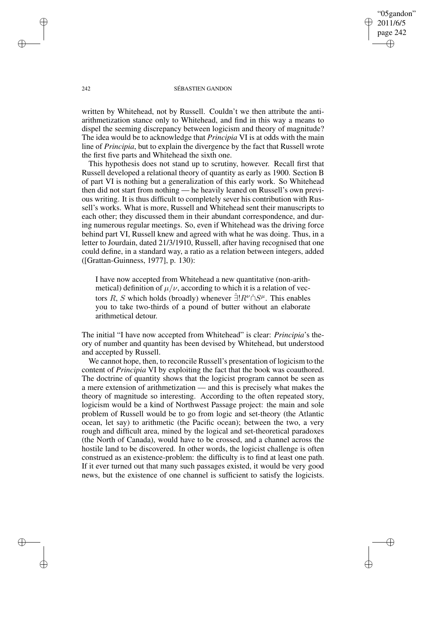"05gandon" 2011/6/5 page 242 ✐ ✐

✐

✐

## 242 SÉBASTIEN GANDON

written by Whitehead, not by Russell. Couldn't we then attribute the antiarithmetization stance only to Whitehead, and find in this way a means to dispel the seeming discrepancy between logicism and theory of magnitude? The idea would be to acknowledge that *Principia* VI is at odds with the main line of *Principia*, but to explain the divergence by the fact that Russell wrote the first five parts and Whitehead the sixth one.

This hypothesis does not stand up to scrutiny, however. Recall first that Russell developed a relational theory of quantity as early as 1900. Section B of part VI is nothing but a generalization of this early work. So Whitehead then did not start from nothing — he heavily leaned on Russell's own previous writing. It is thus difficult to completely sever his contribution with Russell's works. What is more, Russell and Whitehead sent their manuscripts to each other; they discussed them in their abundant correspondence, and during numerous regular meetings. So, even if Whitehead was the driving force behind part VI, Russell knew and agreed with what he was doing. Thus, in a letter to Jourdain, dated 21/3/1910, Russell, after having recognised that one could define, in a standard way, a ratio as a relation between integers, added ([Grattan-Guinness, 1977], p. 130):

I have now accepted from Whitehead a new quantitative (non-arithmetical) definition of  $\mu/\nu$ , according to which it is a relation of vectors R, S which holds (broadly) whenever  $\exists! R^{\nu} \cap S^{\mu}$ . This enables you to take two-thirds of a pound of butter without an elaborate arithmetical detour.

The initial "I have now accepted from Whitehead" is clear: *Principia*'s theory of number and quantity has been devised by Whitehead, but understood and accepted by Russell.

We cannot hope, then, to reconcile Russell's presentation of logicism to the content of *Principia* VI by exploiting the fact that the book was coauthored. The doctrine of quantity shows that the logicist program cannot be seen as a mere extension of arithmetization — and this is precisely what makes the theory of magnitude so interesting. According to the often repeated story, logicism would be a kind of Northwest Passage project: the main and sole problem of Russell would be to go from logic and set-theory (the Atlantic ocean, let say) to arithmetic (the Pacific ocean); between the two, a very rough and difficult area, mined by the logical and set-theoretical paradoxes (the North of Canada), would have to be crossed, and a channel across the hostile land to be discovered. In other words, the logicist challenge is often construed as an existence-problem: the difficulty is to find at least one path. If it ever turned out that many such passages existed, it would be very good news, but the existence of one channel is sufficient to satisfy the logicists.

✐

✐

✐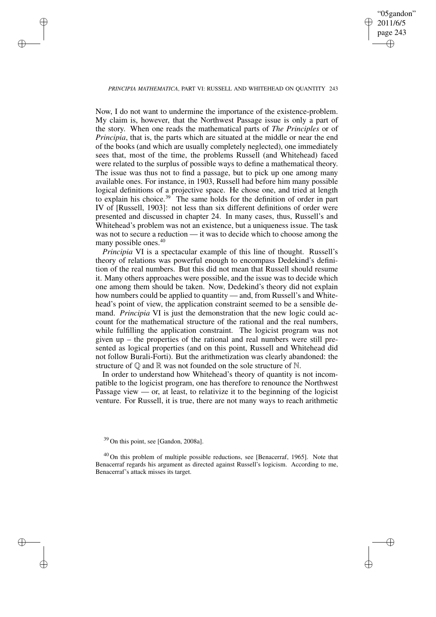✐

## *PRINCIPIA MATHEMATICA*, PART VI: RUSSELL AND WHITEHEAD ON QUANTITY 243

✐

✐

✐

✐

Now, I do not want to undermine the importance of the existence-problem. My claim is, however, that the Northwest Passage issue is only a part of the story. When one reads the mathematical parts of *The Principles* or of *Principia*, that is, the parts which are situated at the middle or near the end of the books (and which are usually completely neglected), one immediately sees that, most of the time, the problems Russell (and Whitehead) faced were related to the surplus of possible ways to define a mathematical theory. The issue was thus not to find a passage, but to pick up one among many available ones. For instance, in 1903, Russell had before him many possible logical definitions of a projective space. He chose one, and tried at length to explain his choice.<sup>39</sup> The same holds for the definition of order in part IV of [Russell, 1903]: not less than six different definitions of order were presented and discussed in chapter 24. In many cases, thus, Russell's and Whitehead's problem was not an existence, but a uniqueness issue. The task was not to secure a reduction — it was to decide which to choose among the many possible ones.<sup>40</sup>

*Principia* VI is a spectacular example of this line of thought. Russell's theory of relations was powerful enough to encompass Dedekind's definition of the real numbers. But this did not mean that Russell should resume it. Many others approaches were possible, and the issue was to decide which one among them should be taken. Now, Dedekind's theory did not explain how numbers could be applied to quantity — and, from Russell's and Whitehead's point of view, the application constraint seemed to be a sensible demand. *Principia* VI is just the demonstration that the new logic could account for the mathematical structure of the rational and the real numbers, while fulfilling the application constraint. The logicist program was not given up – the properties of the rational and real numbers were still presented as logical properties (and on this point, Russell and Whitehead did not follow Burali-Forti). But the arithmetization was clearly abandoned: the structure of  $\mathbb O$  and  $\mathbb R$  was not founded on the sole structure of  $\mathbb N$ .

In order to understand how Whitehead's theory of quantity is not incompatible to the logicist program, one has therefore to renounce the Northwest Passage view  $\sim$  or, at least, to relativize it to the beginning of the logicist venture. For Russell, it is true, there are not many ways to reach arithmetic

<sup>&</sup>lt;sup>39</sup> On this point, see [Gandon, 2008a].

<sup>&</sup>lt;sup>40</sup> On this problem of multiple possible reductions, see [Benacerraf, 1965]. Note that Benacerraf regards his argument as directed against Russell's logicism. According to me, Benacerraf's attack misses its target.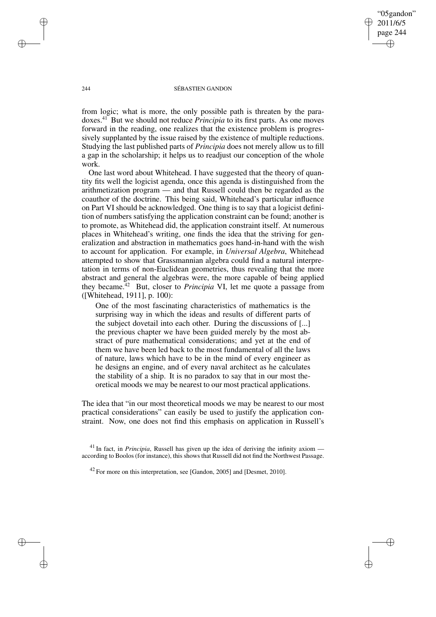"05gandon" 2011/6/5 page 244 ✐ ✐

✐

✐

## 244 SÉBASTIEN GANDON

from logic; what is more, the only possible path is threaten by the paradoxes.<sup>41</sup> But we should not reduce *Principia* to its first parts. As one moves forward in the reading, one realizes that the existence problem is progressively supplanted by the issue raised by the existence of multiple reductions. Studying the last published parts of *Principia* does not merely allow us to fill a gap in the scholarship; it helps us to readjust our conception of the whole work.

One last word about Whitehead. I have suggested that the theory of quantity fits well the logicist agenda, once this agenda is distinguished from the arithmetization program — and that Russell could then be regarded as the coauthor of the doctrine. This being said, Whitehead's particular influence on Part VI should be acknowledged. One thing is to say that a logicist definition of numbers satisfying the application constraint can be found; another is to promote, as Whitehead did, the application constraint itself. At numerous places in Whitehead's writing, one finds the idea that the striving for generalization and abstraction in mathematics goes hand-in-hand with the wish to account for application. For example, in *Universal Algebra*, Whitehead attempted to show that Grassmannian algebra could find a natural interpretation in terms of non-Euclidean geometries, thus revealing that the more abstract and general the algebras were, the more capable of being applied they became.<sup>42</sup> But, closer to *Principia* VI, let me quote a passage from ([Whitehead, 1911], p. 100):

One of the most fascinating characteristics of mathematics is the surprising way in which the ideas and results of different parts of the subject dovetail into each other. During the discussions of [...] the previous chapter we have been guided merely by the most abstract of pure mathematical considerations; and yet at the end of them we have been led back to the most fundamental of all the laws of nature, laws which have to be in the mind of every engineer as he designs an engine, and of every naval architect as he calculates the stability of a ship. It is no paradox to say that in our most theoretical moods we may be nearest to our most practical applications.

The idea that "in our most theoretical moods we may be nearest to our most practical considerations" can easily be used to justify the application constraint. Now, one does not find this emphasis on application in Russell's

✐

✐

✐

<sup>&</sup>lt;sup>41</sup> In fact, in *Principia*, Russell has given up the idea of deriving the infinity axiom according to Boolos (for instance), this shows that Russell did not find the Northwest Passage.

<sup>&</sup>lt;sup>42</sup> For more on this interpretation, see [Gandon, 2005] and [Desmet, 2010].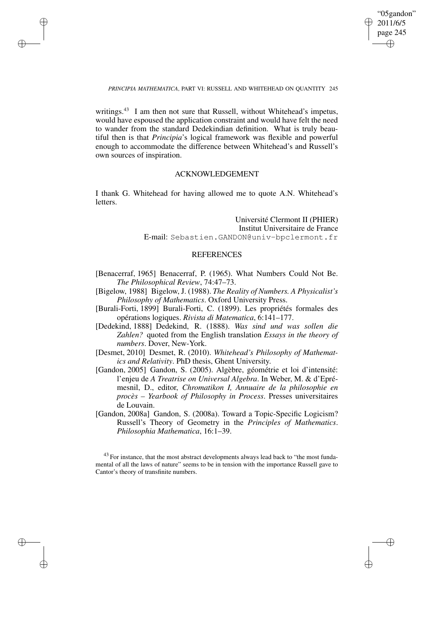✐

## *PRINCIPIA MATHEMATICA*, PART VI: RUSSELL AND WHITEHEAD ON QUANTITY 245

✐

✐

✐

✐

writings.<sup>43</sup> I am then not sure that Russell, without Whitehead's impetus, would have espoused the application constraint and would have felt the need to wander from the standard Dedekindian definition. What is truly beautiful then is that *Principia*'s logical framework was flexible and powerful enough to accommodate the difference between Whitehead's and Russell's own sources of inspiration.

# ACKNOWLEDGEMENT

I thank G. Whitehead for having allowed me to quote A.N. Whitehead's letters.

> Université Clermont II (PHIER) Institut Universitaire de France E-mail: Sebastien.GANDON@univ-bpclermont.fr

# **REFERENCES**

- [Benacerraf, 1965] Benacerraf, P. (1965). What Numbers Could Not Be. *The Philosophical Review*, 74:47–73.
- [Bigelow, 1988] Bigelow, J. (1988). *The Reality of Numbers. A Physicalist's Philosophy of Mathematics*. Oxford University Press.
- [Burali-Forti, 1899] Burali-Forti, C. (1899). Les propriétés formales des opérations logiques. *Rivista di Matematica*, 6:141–177.
- [Dedekind, 1888] Dedekind, R. (1888). *Was sind und was sollen die Zahlen?* quoted from the English translation *Essays in the theory of numbers*. Dover, New-York.
- [Desmet, 2010] Desmet, R. (2010). *Whitehead's Philosophy of Mathematics and Relativity*. PhD thesis, Ghent University.
- [Gandon, 2005] Gandon, S. (2005). Algèbre, géométrie et loi d'intensité: l'enjeu de *A Treatrise on Universal Algebra*. In Weber, M. & d'Eprémesnil, D., editor, *Chromatikon I, Annuaire de la philosophie en procès – Yearbook of Philosophy in Process*. Presses universitaires de Louvain.
- [Gandon, 2008a] Gandon, S. (2008a). Toward a Topic-Specific Logicism? Russell's Theory of Geometry in the *Principles of Mathematics*. *Philosophia Mathematica*, 16:1–39.

 $43$  For instance, that the most abstract developments always lead back to "the most fundamental of all the laws of nature" seems to be in tension with the importance Russell gave to Cantor's theory of transfinite numbers.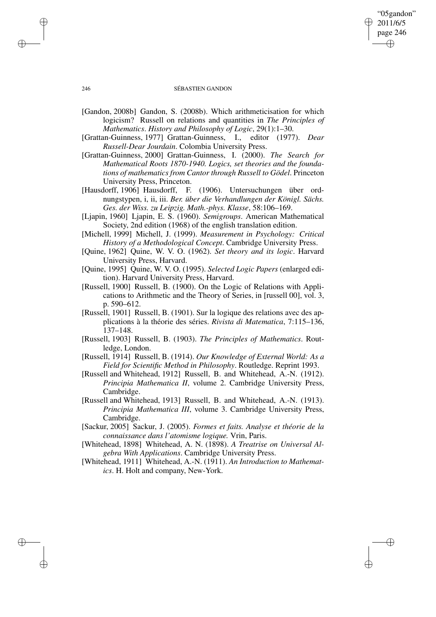# "05gandon" 2011/6/5 page 246 ✐ ✐

✐

✐

## 246 SÉBASTIEN GANDON

- [Gandon, 2008b] Gandon, S. (2008b). Which arithmeticisation for which logicism? Russell on relations and quantities in *The Principles of Mathematics*. *History and Philosophy of Logic*, 29(1):1–30.
- [Grattan-Guinness, 1977] Grattan-Guinness, I., editor (1977). *Dear Russell-Dear Jourdain*. Colombia University Press.
- [Grattan-Guinness, 2000] Grattan-Guinness, I. (2000). *The Search for Mathematical Roots 1870-1940. Logics, set theories and the foundations of mathematics from Cantor through Russell to Gödel*. Princeton University Press, Princeton.
- [Hausdorff, 1906] Hausdorff, F. (1906). Untersuchungen über ordnungstypen, i, ii, iii. *Ber. über die Verhandlungen der Königl. Sächs. Ges. der Wiss. zu Leipzig. Math.-phys. Klasse*, 58:106–169.
- [Ljapin, 1960] Ljapin, E. S. (1960). *Semigroups*. American Mathematical Society, 2nd edition (1968) of the english translation edition.
- [Michell, 1999] Michell, J. (1999). *Measurement in Psychology: Critical History of a Methodological Concept*. Cambridge University Press.
- [Quine, 1962] Quine, W. V. O. (1962). *Set theory and its logic*. Harvard University Press, Harvard.
- [Quine, 1995] Quine, W. V. O. (1995). *Selected Logic Papers* (enlarged edition). Harvard University Press, Harvard.
- [Russell, 1900] Russell, B. (1900). On the Logic of Relations with Applications to Arithmetic and the Theory of Series, in [russell 00], vol. 3, p. 590–612.
- [Russell, 1901] Russell, B. (1901). Sur la logique des relations avec des applications à la théorie des séries. *Rivista di Matematica*, 7:115–136, 137–148.
- [Russell, 1903] Russell, B. (1903). *The Principles of Mathematics*. Routledge, London.
- [Russell, 1914] Russell, B. (1914). *Our Knowledge of External World: As a Field for Scientific Method in Philosophy*. Routledge. Reprint 1993.
- [Russell and Whitehead, 1912] Russell, B. and Whitehead, A.-N. (1912). *Principia Mathematica II*, volume 2. Cambridge University Press, Cambridge.
- [Russell and Whitehead, 1913] Russell, B. and Whitehead, A.-N. (1913). *Principia Mathematica III*, volume 3. Cambridge University Press, Cambridge.
- [Sackur, 2005] Sackur, J. (2005). *Formes et faits. Analyse et théorie de la connaissance dans l'atomisme logique.* Vrin, Paris.
- [Whitehead, 1898] Whitehead, A. N. (1898). *A Treatrise on Universal Algebra With Applications*. Cambridge University Press.
- [Whitehead, 1911] Whitehead, A.-N. (1911). *An Introduction to Mathematics*. H. Holt and company, New-York.

✐

✐

✐